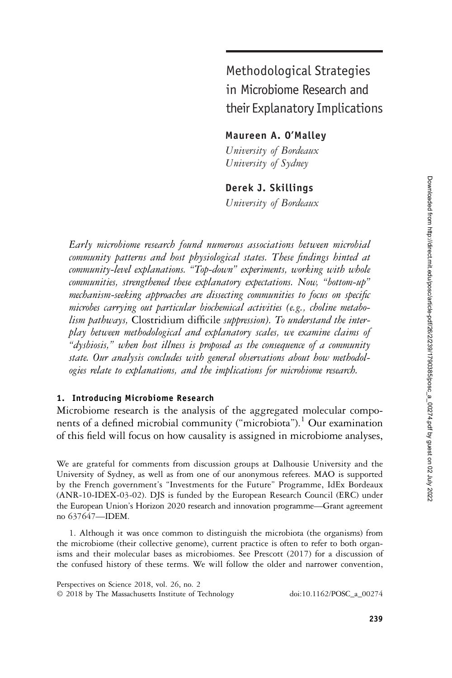# Methodological Strategies in Microbiome Research and their Explanatory Implications

Maureen A. O'Malley

University of Bordeaux University of Sydney

Derek J. Skillings

University of Bordeaux

Early microbiome research found numerous associations between microbial community patterns and host physiological states. These findings hinted at community-level explanations. "Top-down" experiments, working with whole communities, strengthened these explanatory expectations. Now, "bottom-up" mechanism-seeking approaches are dissecting communities to focus on specific microbes carrying out particular biochemical activities (e.g., choline metabolism pathways, Clostridium difficile suppression). To understand the interplay between methodological and explanatory scales, we examine claims of "dysbiosis," when host illness is proposed as the consequence of a community state. Our analysis concludes with general observations about how methodologies relate to explanations, and the implications for microbiome research.

# 1. Introducing Microbiome Research

Microbiome research is the analysis of the aggregated molecular components of a defined microbial community ("microbiota").<sup>1</sup> Our examination of this field will focus on how causality is assigned in microbiome analyses,

We are grateful for comments from discussion groups at Dalhousie University and the University of Sydney, as well as from one of our anonymous referees. MAO is supported by the French government's "Investments for the Future" Programme, IdEx Bordeaux (ANR-10-IDEX-03-02). DJS is funded by the European Research Council (ERC) under the European Union's Horizon 2020 research and innovation programme—Grant agreement no 637647—IDEM.

1. Although it was once common to distinguish the microbiota (the organisms) from the microbiome (their collective genome), current practice is often to refer to both organisms and their molecular bases as microbiomes. See Prescott (2017) for a discussion of the confused history of these terms. We will follow the older and narrower convention,

Perspectives on Science 2018, vol. 26, no. 2 © 2018 by The Massachusetts Institute of Technology doi:10.1162/POSC\_a\_00274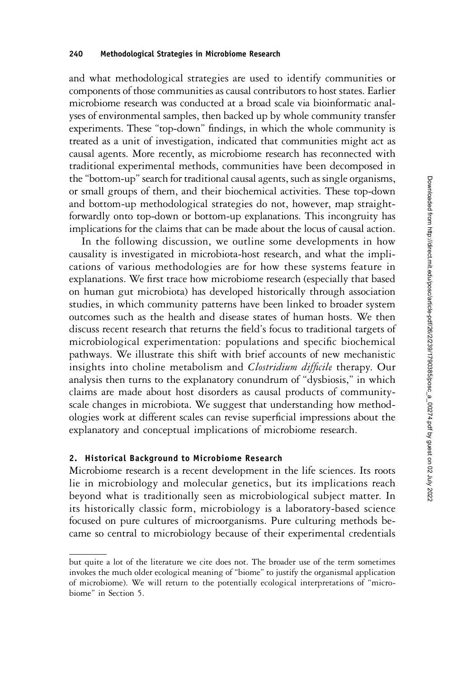and what methodological strategies are used to identify communities or components of those communities as causal contributors to host states. Earlier microbiome research was conducted at a broad scale via bioinformatic analyses of environmental samples, then backed up by whole community transfer experiments. These "top-down" findings, in which the whole community is treated as a unit of investigation, indicated that communities might act as causal agents. More recently, as microbiome research has reconnected with traditional experimental methods, communities have been decomposed in the"bottom-up"search for traditional causal agents, such as single organisms, or small groups of them, and their biochemical activities. These top-down and bottom-up methodological strategies do not, however, map straightforwardly onto top-down or bottom-up explanations. This incongruity has implications for the claims that can be made about the locus of causal action.

In the following discussion, we outline some developments in how causality is investigated in microbiota-host research, and what the implications of various methodologies are for how these systems feature in explanations. We first trace how microbiome research (especially that based on human gut microbiota) has developed historically through association studies, in which community patterns have been linked to broader system outcomes such as the health and disease states of human hosts. We then discuss recent research that returns the field's focus to traditional targets of microbiological experimentation: populations and specific biochemical pathways. We illustrate this shift with brief accounts of new mechanistic insights into choline metabolism and Clostridium difficile therapy. Our analysis then turns to the explanatory conundrum of "dysbiosis," in which claims are made about host disorders as causal products of communityscale changes in microbiota. We suggest that understanding how methodologies work at different scales can revise superficial impressions about the explanatory and conceptual implications of microbiome research.

## 2. Historical Background to Microbiome Research

Microbiome research is a recent development in the life sciences. Its roots lie in microbiology and molecular genetics, but its implications reach beyond what is traditionally seen as microbiological subject matter. In its historically classic form, microbiology is a laboratory-based science focused on pure cultures of microorganisms. Pure culturing methods became so central to microbiology because of their experimental credentials

but quite a lot of the literature we cite does not. The broader use of the term sometimes invokes the much older ecological meaning of "biome" to justify the organismal application of microbiome). We will return to the potentially ecological interpretations of "microbiome" in Section 5.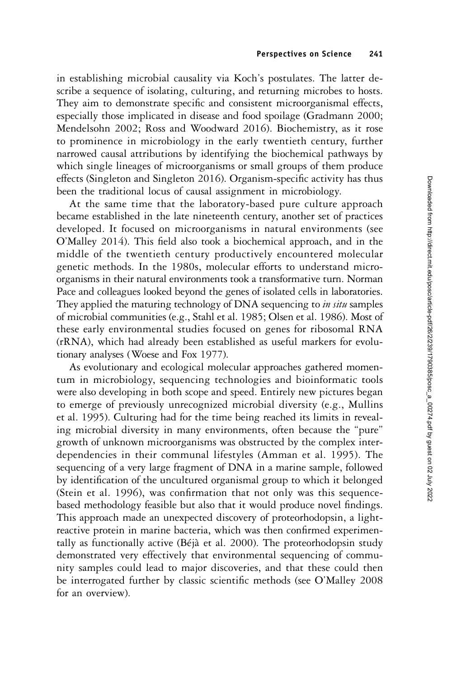in establishing microbial causality via Koch's postulates. The latter describe a sequence of isolating, culturing, and returning microbes to hosts. They aim to demonstrate specific and consistent microorganismal effects, especially those implicated in disease and food spoilage (Gradmann 2000; Mendelsohn 2002; Ross and Woodward 2016). Biochemistry, as it rose to prominence in microbiology in the early twentieth century, further narrowed causal attributions by identifying the biochemical pathways by which single lineages of microorganisms or small groups of them produce effects (Singleton and Singleton 2016). Organism-specific activity has thus been the traditional locus of causal assignment in microbiology.

At the same time that the laboratory-based pure culture approach became established in the late nineteenth century, another set of practices developed. It focused on microorganisms in natural environments (see O'Malley 2014). This field also took a biochemical approach, and in the middle of the twentieth century productively encountered molecular genetic methods. In the 1980s, molecular efforts to understand microorganisms in their natural environments took a transformative turn. Norman Pace and colleagues looked beyond the genes of isolated cells in laboratories. They applied the maturing technology of DNA sequencing to *in situ* samples of microbial communities (e.g., Stahl et al. 1985; Olsen et al. 1986). Most of these early environmental studies focused on genes for ribosomal RNA (rRNA), which had already been established as useful markers for evolutionary analyses (Woese and Fox 1977).

As evolutionary and ecological molecular approaches gathered momentum in microbiology, sequencing technologies and bioinformatic tools were also developing in both scope and speed. Entirely new pictures began to emerge of previously unrecognized microbial diversity (e.g., Mullins et al. 1995). Culturing had for the time being reached its limits in revealing microbial diversity in many environments, often because the "pure" growth of unknown microorganisms was obstructed by the complex interdependencies in their communal lifestyles (Amman et al. 1995). The sequencing of a very large fragment of DNA in a marine sample, followed by identification of the uncultured organismal group to which it belonged (Stein et al. 1996), was confirmation that not only was this sequencebased methodology feasible but also that it would produce novel findings. This approach made an unexpected discovery of proteorhodopsin, a lightreactive protein in marine bacteria, which was then confirmed experimentally as functionally active (Béjà et al. 2000). The proteorhodopsin study demonstrated very effectively that environmental sequencing of community samples could lead to major discoveries, and that these could then be interrogated further by classic scientific methods (see O'Malley 2008 for an overview).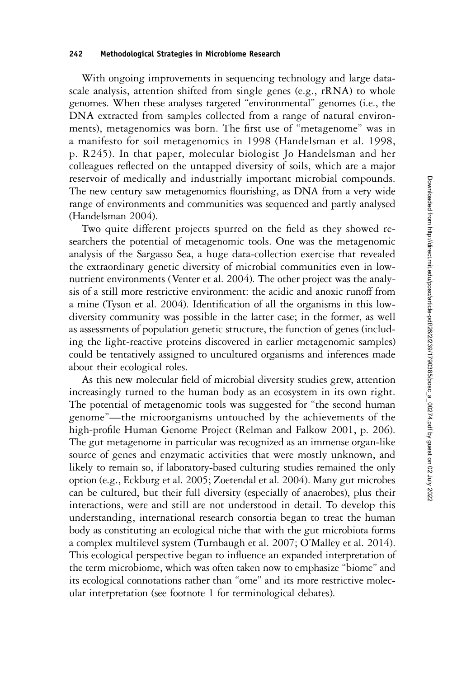With ongoing improvements in sequencing technology and large datascale analysis, attention shifted from single genes (e.g., rRNA) to whole genomes. When these analyses targeted "environmental" genomes (i.e., the DNA extracted from samples collected from a range of natural environments), metagenomics was born. The first use of "metagenome" was in a manifesto for soil metagenomics in 1998 (Handelsman et al. 1998, p. R245). In that paper, molecular biologist Jo Handelsman and her colleagues reflected on the untapped diversity of soils, which are a major reservoir of medically and industrially important microbial compounds. The new century saw metagenomics flourishing, as DNA from a very wide range of environments and communities was sequenced and partly analysed (Handelsman 2004).

Two quite different projects spurred on the field as they showed researchers the potential of metagenomic tools. One was the metagenomic analysis of the Sargasso Sea, a huge data-collection exercise that revealed the extraordinary genetic diversity of microbial communities even in lownutrient environments (Venter et al. 2004). The other project was the analysis of a still more restrictive environment: the acidic and anoxic runoff from a mine (Tyson et al. 2004). Identification of all the organisms in this lowdiversity community was possible in the latter case; in the former, as well as assessments of population genetic structure, the function of genes (including the light-reactive proteins discovered in earlier metagenomic samples) could be tentatively assigned to uncultured organisms and inferences made about their ecological roles.

As this new molecular field of microbial diversity studies grew, attention increasingly turned to the human body as an ecosystem in its own right. The potential of metagenomic tools was suggested for "the second human genome"—the microorganisms untouched by the achievements of the high-profile Human Genome Project (Relman and Falkow 2001, p. 206). The gut metagenome in particular was recognized as an immense organ-like source of genes and enzymatic activities that were mostly unknown, and likely to remain so, if laboratory-based culturing studies remained the only option (e.g., Eckburg et al. 2005; Zoetendal et al. 2004). Many gut microbes can be cultured, but their full diversity (especially of anaerobes), plus their interactions, were and still are not understood in detail. To develop this understanding, international research consortia began to treat the human body as constituting an ecological niche that with the gut microbiota forms a complex multilevel system (Turnbaugh et al. 2007; O'Malley et al. 2014). This ecological perspective began to influence an expanded interpretation of the term microbiome, which was often taken now to emphasize "biome" and its ecological connotations rather than "ome" and its more restrictive molecular interpretation (see footnote 1 for terminological debates).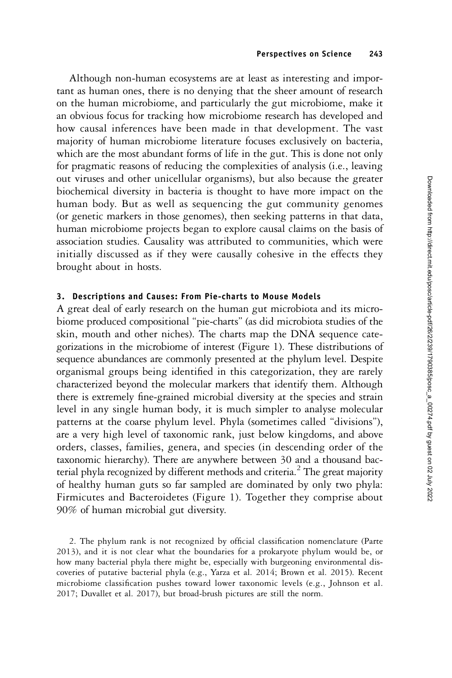Although non-human ecosystems are at least as interesting and important as human ones, there is no denying that the sheer amount of research on the human microbiome, and particularly the gut microbiome, make it an obvious focus for tracking how microbiome research has developed and how causal inferences have been made in that development. The vast majority of human microbiome literature focuses exclusively on bacteria, which are the most abundant forms of life in the gut. This is done not only for pragmatic reasons of reducing the complexities of analysis (i.e., leaving out viruses and other unicellular organisms), but also because the greater biochemical diversity in bacteria is thought to have more impact on the human body. But as well as sequencing the gut community genomes (or genetic markers in those genomes), then seeking patterns in that data, human microbiome projects began to explore causal claims on the basis of association studies. Causality was attributed to communities, which were initially discussed as if they were causally cohesive in the effects they brought about in hosts.

# 3. Descriptions and Causes: From Pie-charts to Mouse Models

A great deal of early research on the human gut microbiota and its microbiome produced compositional "pie-charts" (as did microbiota studies of the skin, mouth and other niches). The charts map the DNA sequence categorizations in the microbiome of interest (Figure 1). These distributions of sequence abundances are commonly presented at the phylum level. Despite organismal groups being identified in this categorization, they are rarely characterized beyond the molecular markers that identify them. Although there is extremely fine-grained microbial diversity at the species and strain level in any single human body, it is much simpler to analyse molecular patterns at the coarse phylum level. Phyla (sometimes called "divisions"), are a very high level of taxonomic rank, just below kingdoms, and above orders, classes, families, genera, and species (in descending order of the taxonomic hierarchy). There are anywhere between 30 and a thousand bacterial phyla recognized by different methods and criteria.<sup>2</sup> The great majority of healthy human guts so far sampled are dominated by only two phyla: Firmicutes and Bacteroidetes (Figure 1). Together they comprise about 90% of human microbial gut diversity.

2. The phylum rank is not recognized by official classification nomenclature (Parte 2013), and it is not clear what the boundaries for a prokaryote phylum would be, or how many bacterial phyla there might be, especially with burgeoning environmental discoveries of putative bacterial phyla (e.g., Yarza et al. 2014; Brown et al. 2015). Recent microbiome classification pushes toward lower taxonomic levels (e.g., Johnson et al. 2017; Duvallet et al. 2017), but broad-brush pictures are still the norm.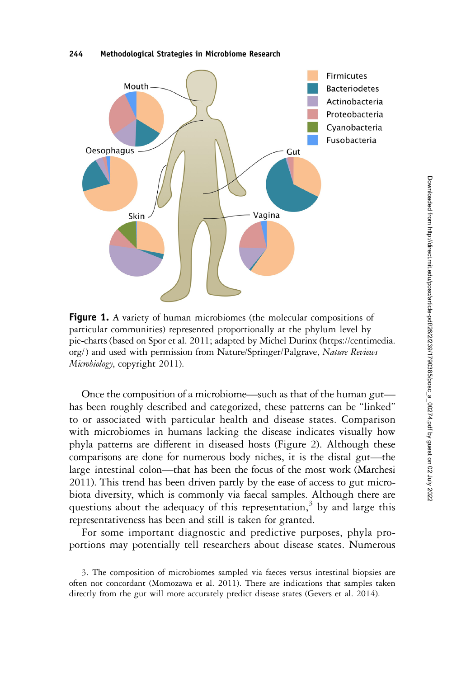

**Figure 1.** A variety of human microbiomes (the molecular compositions of particular communities) represented proportionally at the phylum level by pie-charts (based on Spor et al. 2011; adapted by Michel Durinx (https://centimedia. org/) and used with permission from Nature/Springer/Palgrave, Nature Reviews Microbiology, copyright 2011).

Once the composition of a microbiome—such as that of the human gut has been roughly described and categorized, these patterns can be "linked" to or associated with particular health and disease states. Comparison with microbiomes in humans lacking the disease indicates visually how phyla patterns are different in diseased hosts (Figure 2). Although these comparisons are done for numerous body niches, it is the distal gut—the large intestinal colon—that has been the focus of the most work (Marchesi 2011). This trend has been driven partly by the ease of access to gut microbiota diversity, which is commonly via faecal samples. Although there are questions about the adequacy of this representation,<sup>3</sup> by and large this representativeness has been and still is taken for granted.

For some important diagnostic and predictive purposes, phyla proportions may potentially tell researchers about disease states. Numerous

<sup>3.</sup> The composition of microbiomes sampled via faeces versus intestinal biopsies are often not concordant (Momozawa et al. 2011). There are indications that samples taken directly from the gut will more accurately predict disease states (Gevers et al. 2014).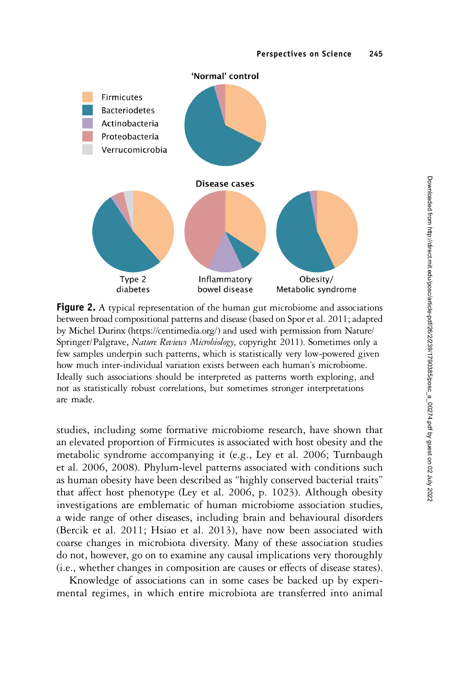

**Figure 2.** A typical representation of the human gut microbiome and associations between broad compositional patterns and disease (based on Spor et al. 2011; adapted by Michel Durinx (https://centimedia.org/) and used with permission from Nature/ Springer/Palgrave, Nature Reviews Microbiology, copyright 2011). Sometimes only a few samples underpin such patterns, which is statistically very low-powered given how much inter-individual variation exists between each human's microbiome. Ideally such associations should be interpreted as patterns worth exploring, and not as statistically robust correlations, but sometimes stronger interpretations are made.

studies, including some formative microbiome research, have shown that an elevated proportion of Firmicutes is associated with host obesity and the metabolic syndrome accompanying it (e.g., Ley et al. 2006; Turnbaugh et al. 2006, 2008). Phylum-level patterns associated with conditions such as human obesity have been described as "highly conserved bacterial traits" that affect host phenotype (Ley et al. 2006, p. 1023). Although obesity investigations are emblematic of human microbiome association studies, a wide range of other diseases, including brain and behavioural disorders (Bercik et al. 2011; Hsiao et al. 2013), have now been associated with coarse changes in microbiota diversity. Many of these association studies do not, however, go on to examine any causal implications very thoroughly (i.e., whether changes in composition are causes or effects of disease states).

Knowledge of associations can in some cases be backed up by experimental regimes, in which entire microbiota are transferred into animal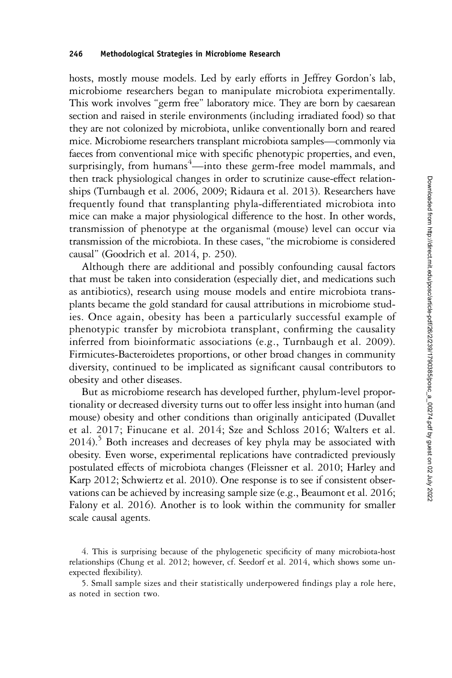hosts, mostly mouse models. Led by early efforts in Jeffrey Gordon's lab, microbiome researchers began to manipulate microbiota experimentally. This work involves "germ free" laboratory mice. They are born by caesarean section and raised in sterile environments (including irradiated food) so that they are not colonized by microbiota, unlike conventionally born and reared mice. Microbiome researchers transplant microbiota samples—commonly via faeces from conventional mice with specific phenotypic properties, and even, surprisingly, from humans<sup>4</sup>—into these germ-free model mammals, and then track physiological changes in order to scrutinize cause-effect relationships (Turnbaugh et al. 2006, 2009; Ridaura et al. 2013). Researchers have frequently found that transplanting phyla-differentiated microbiota into mice can make a major physiological difference to the host. In other words, transmission of phenotype at the organismal (mouse) level can occur via transmission of the microbiota. In these cases, "the microbiome is considered causal" (Goodrich et al. 2014, p. 250).

Although there are additional and possibly confounding causal factors that must be taken into consideration (especially diet, and medications such as antibiotics), research using mouse models and entire microbiota transplants became the gold standard for causal attributions in microbiome studies. Once again, obesity has been a particularly successful example of phenotypic transfer by microbiota transplant, confirming the causality inferred from bioinformatic associations (e.g., Turnbaugh et al. 2009). Firmicutes-Bacteroidetes proportions, or other broad changes in community diversity, continued to be implicated as significant causal contributors to obesity and other diseases.

But as microbiome research has developed further, phylum-level proportionality or decreased diversity turns out to offer less insight into human (and mouse) obesity and other conditions than originally anticipated (Duvallet et al. 2017; Finucane et al. 2014; Sze and Schloss 2016; Walters et al.  $2014$ ).<sup>5</sup> Both increases and decreases of key phyla may be associated with obesity. Even worse, experimental replications have contradicted previously postulated effects of microbiota changes (Fleissner et al. 2010; Harley and Karp 2012; Schwiertz et al. 2010). One response is to see if consistent observations can be achieved by increasing sample size (e.g., Beaumont et al. 2016; Falony et al. 2016). Another is to look within the community for smaller scale causal agents.

<sup>4.</sup> This is surprising because of the phylogenetic specificity of many microbiota-host relationships (Chung et al. 2012; however, cf. Seedorf et al. 2014, which shows some unexpected flexibility).

<sup>5.</sup> Small sample sizes and their statistically underpowered findings play a role here, as noted in section two.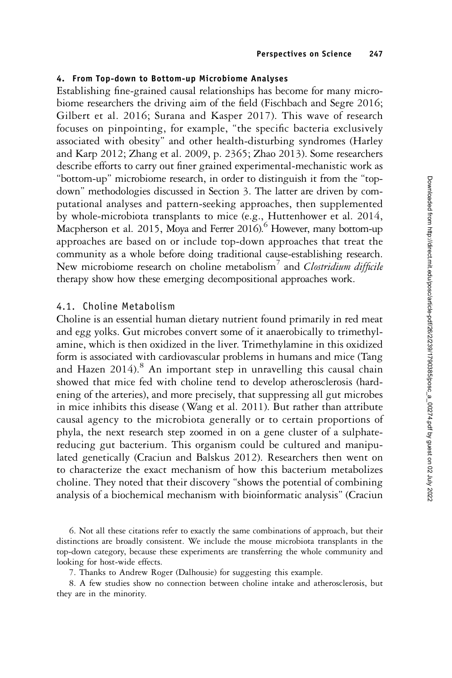## 4. From Top-down to Bottom-up Microbiome Analyses

Establishing fine-grained causal relationships has become for many microbiome researchers the driving aim of the field (Fischbach and Segre 2016; Gilbert et al. 2016; Surana and Kasper 2017). This wave of research focuses on pinpointing, for example, "the specific bacteria exclusively associated with obesity" and other health-disturbing syndromes (Harley and Karp 2012; Zhang et al. 2009, p. 2365; Zhao 2013). Some researchers describe efforts to carry out finer grained experimental-mechanistic work as "bottom-up" microbiome research, in order to distinguish it from the "topdown" methodologies discussed in Section 3. The latter are driven by computational analyses and pattern-seeking approaches, then supplemented by whole-microbiota transplants to mice (e.g., Huttenhower et al. 2014, Macpherson et al. 2015, Moya and Ferrer 2016). However, many bottom-up approaches are based on or include top-down approaches that treat the community as a whole before doing traditional cause-establishing research. New microbiome research on choline metabolism<sup>7</sup> and *Clostridium difficile* therapy show how these emerging decompositional approaches work.

# 4.1. Choline Metabolism

Choline is an essential human dietary nutrient found primarily in red meat and egg yolks. Gut microbes convert some of it anaerobically to trimethylamine, which is then oxidized in the liver. Trimethylamine in this oxidized form is associated with cardiovascular problems in humans and mice (Tang and Hazen  $2014$ ).<sup>8</sup> An important step in unravelling this causal chain showed that mice fed with choline tend to develop atherosclerosis (hardening of the arteries), and more precisely, that suppressing all gut microbes in mice inhibits this disease (Wang et al. 2011). But rather than attribute causal agency to the microbiota generally or to certain proportions of phyla, the next research step zoomed in on a gene cluster of a sulphatereducing gut bacterium. This organism could be cultured and manipulated genetically (Craciun and Balskus 2012). Researchers then went on to characterize the exact mechanism of how this bacterium metabolizes choline. They noted that their discovery "shows the potential of combining analysis of a biochemical mechanism with bioinformatic analysis" (Craciun

6. Not all these citations refer to exactly the same combinations of approach, but their distinctions are broadly consistent. We include the mouse microbiota transplants in the top-down category, because these experiments are transferring the whole community and looking for host-wide effects.

7. Thanks to Andrew Roger (Dalhousie) for suggesting this example.

8. A few studies show no connection between choline intake and atherosclerosis, but they are in the minority.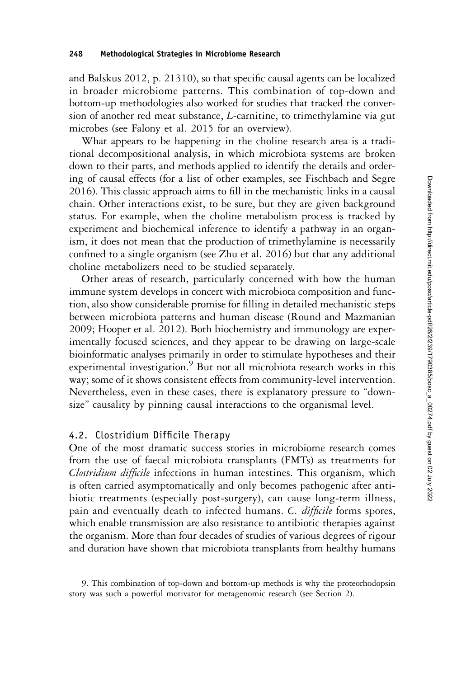and Balskus 2012, p. 21310), so that specific causal agents can be localized in broader microbiome patterns. This combination of top-down and bottom-up methodologies also worked for studies that tracked the conversion of another red meat substance, L-carnitine, to trimethylamine via gut microbes (see Falony et al. 2015 for an overview).

What appears to be happening in the choline research area is a traditional decompositional analysis, in which microbiota systems are broken down to their parts, and methods applied to identify the details and ordering of causal effects (for a list of other examples, see Fischbach and Segre 2016). This classic approach aims to fill in the mechanistic links in a causal chain. Other interactions exist, to be sure, but they are given background status. For example, when the choline metabolism process is tracked by experiment and biochemical inference to identify a pathway in an organism, it does not mean that the production of trimethylamine is necessarily confined to a single organism (see Zhu et al. 2016) but that any additional choline metabolizers need to be studied separately.

Other areas of research, particularly concerned with how the human immune system develops in concert with microbiota composition and function, also show considerable promise for filling in detailed mechanistic steps between microbiota patterns and human disease (Round and Mazmanian 2009; Hooper et al. 2012). Both biochemistry and immunology are experimentally focused sciences, and they appear to be drawing on large-scale bioinformatic analyses primarily in order to stimulate hypotheses and their experimental investigation.<sup>9</sup> But not all microbiota research works in this way; some of it shows consistent effects from community-level intervention. Nevertheless, even in these cases, there is explanatory pressure to "downsize" causality by pinning causal interactions to the organismal level.

# 4.2. Clostridium Difficile Therapy

One of the most dramatic success stories in microbiome research comes from the use of faecal microbiota transplants (FMTs) as treatments for Clostridium difficile infections in human intestines. This organism, which is often carried asymptomatically and only becomes pathogenic after antibiotic treatments (especially post-surgery), can cause long-term illness, pain and eventually death to infected humans. C. difficile forms spores, which enable transmission are also resistance to antibiotic therapies against the organism. More than four decades of studies of various degrees of rigour and duration have shown that microbiota transplants from healthy humans

<sup>9.</sup> This combination of top-down and bottom-up methods is why the proteorhodopsin story was such a powerful motivator for metagenomic research (see Section 2).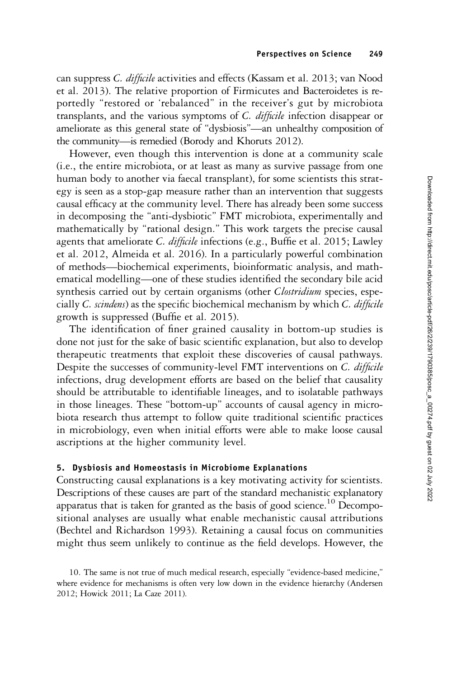can suppress C. difficile activities and effects (Kassam et al. 2013; van Nood et al. 2013). The relative proportion of Firmicutes and Bacteroidetes is reportedly "restored or 'rebalanced" in the receiver's gut by microbiota transplants, and the various symptoms of C. difficile infection disappear or ameliorate as this general state of "dysbiosis"—an unhealthy composition of the community—is remedied (Borody and Khoruts 2012).

However, even though this intervention is done at a community scale (i.e., the entire microbiota, or at least as many as survive passage from one human body to another via faecal transplant), for some scientists this strategy is seen as a stop-gap measure rather than an intervention that suggests causal efficacy at the community level. There has already been some success in decomposing the "anti-dysbiotic" FMT microbiota, experimentally and mathematically by "rational design." This work targets the precise causal agents that ameliorate C. difficile infections (e.g., Buffie et al. 2015; Lawley et al. 2012, Almeida et al. 2016). In a particularly powerful combination of methods—biochemical experiments, bioinformatic analysis, and mathematical modelling—one of these studies identified the secondary bile acid synthesis carried out by certain organisms (other Clostridium species, especially C. scindens) as the specific biochemical mechanism by which C. difficile growth is suppressed (Buffie et al. 2015).

The identification of finer grained causality in bottom-up studies is done not just for the sake of basic scientific explanation, but also to develop therapeutic treatments that exploit these discoveries of causal pathways. Despite the successes of community-level FMT interventions on C. difficile infections, drug development efforts are based on the belief that causality should be attributable to identifiable lineages, and to isolatable pathways in those lineages. These "bottom-up" accounts of causal agency in microbiota research thus attempt to follow quite traditional scientific practices in microbiology, even when initial efforts were able to make loose causal ascriptions at the higher community level.

# 5. Dysbiosis and Homeostasis in Microbiome Explanations

Constructing causal explanations is a key motivating activity for scientists. Descriptions of these causes are part of the standard mechanistic explanatory apparatus that is taken for granted as the basis of good science.<sup>10</sup> Decompositional analyses are usually what enable mechanistic causal attributions (Bechtel and Richardson 1993). Retaining a causal focus on communities might thus seem unlikely to continue as the field develops. However, the

<sup>10.</sup> The same is not true of much medical research, especially "evidence-based medicine," where evidence for mechanisms is often very low down in the evidence hierarchy (Andersen 2012; Howick 2011; La Caze 2011).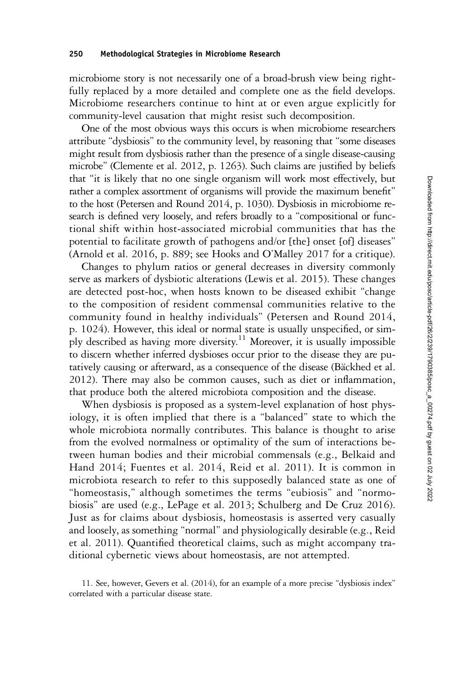microbiome story is not necessarily one of a broad-brush view being rightfully replaced by a more detailed and complete one as the field develops. Microbiome researchers continue to hint at or even argue explicitly for community-level causation that might resist such decomposition.

One of the most obvious ways this occurs is when microbiome researchers attribute "dysbiosis" to the community level, by reasoning that "some diseases might result from dysbiosis rather than the presence of a single disease-causing microbe" (Clemente et al. 2012, p. 1263). Such claims are justified by beliefs that "it is likely that no one single organism will work most effectively, but rather a complex assortment of organisms will provide the maximum benefit" to the host (Petersen and Round 2014, p. 1030). Dysbiosis in microbiome research is defined very loosely, and refers broadly to a "compositional or functional shift within host-associated microbial communities that has the potential to facilitate growth of pathogens and/or [the] onset [of] diseases" (Arnold et al. 2016, p. 889; see Hooks and O'Malley 2017 for a critique).

Changes to phylum ratios or general decreases in diversity commonly serve as markers of dysbiotic alterations (Lewis et al. 2015). These changes are detected post-hoc, when hosts known to be diseased exhibit "change to the composition of resident commensal communities relative to the community found in healthy individuals" (Petersen and Round 2014, p. 1024). However, this ideal or normal state is usually unspecified, or simply described as having more diversity.<sup>11</sup> Moreover, it is usually impossible to discern whether inferred dysbioses occur prior to the disease they are putatively causing or afterward, as a consequence of the disease (Bäckhed et al. 2012). There may also be common causes, such as diet or inflammation, that produce both the altered microbiota composition and the disease.

When dysbiosis is proposed as a system-level explanation of host physiology, it is often implied that there is a "balanced" state to which the whole microbiota normally contributes. This balance is thought to arise from the evolved normalness or optimality of the sum of interactions between human bodies and their microbial commensals (e.g., Belkaid and Hand 2014; Fuentes et al. 2014, Reid et al. 2011). It is common in microbiota research to refer to this supposedly balanced state as one of "homeostasis," although sometimes the terms "eubiosis" and "normobiosis" are used (e.g., LePage et al. 2013; Schulberg and De Cruz 2016). Just as for claims about dysbiosis, homeostasis is asserted very casually and loosely, as something "normal" and physiologically desirable (e.g., Reid et al. 2011). Quantified theoretical claims, such as might accompany traditional cybernetic views about homeostasis, are not attempted.

<sup>11.</sup> See, however, Gevers et al. (2014), for an example of a more precise "dysbiosis index" correlated with a particular disease state.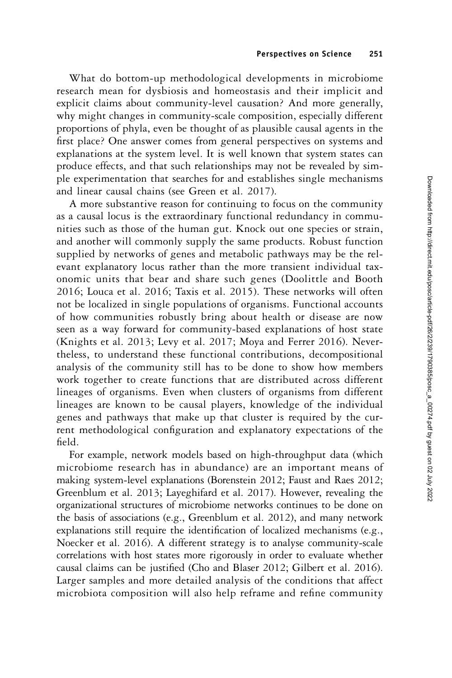What do bottom-up methodological developments in microbiome research mean for dysbiosis and homeostasis and their implicit and explicit claims about community-level causation? And more generally, why might changes in community-scale composition, especially different proportions of phyla, even be thought of as plausible causal agents in the first place? One answer comes from general perspectives on systems and explanations at the system level. It is well known that system states can produce effects, and that such relationships may not be revealed by simple experimentation that searches for and establishes single mechanisms and linear causal chains (see Green et al. 2017).

A more substantive reason for continuing to focus on the community as a causal locus is the extraordinary functional redundancy in communities such as those of the human gut. Knock out one species or strain, and another will commonly supply the same products. Robust function supplied by networks of genes and metabolic pathways may be the relevant explanatory locus rather than the more transient individual taxonomic units that bear and share such genes (Doolittle and Booth 2016; Louca et al. 2016; Taxis et al. 2015). These networks will often not be localized in single populations of organisms. Functional accounts of how communities robustly bring about health or disease are now seen as a way forward for community-based explanations of host state (Knights et al. 2013; Levy et al. 2017; Moya and Ferrer 2016). Nevertheless, to understand these functional contributions, decompositional analysis of the community still has to be done to show how members work together to create functions that are distributed across different lineages of organisms. Even when clusters of organisms from different lineages are known to be causal players, knowledge of the individual genes and pathways that make up that cluster is required by the current methodological configuration and explanatory expectations of the field.

For example, network models based on high-throughput data (which microbiome research has in abundance) are an important means of making system-level explanations (Borenstein 2012; Faust and Raes 2012; Greenblum et al. 2013; Layeghifard et al. 2017). However, revealing the organizational structures of microbiome networks continues to be done on the basis of associations (e.g., Greenblum et al. 2012), and many network explanations still require the identification of localized mechanisms (e.g., Noecker et al. 2016). A different strategy is to analyse community-scale correlations with host states more rigorously in order to evaluate whether causal claims can be justified (Cho and Blaser 2012; Gilbert et al. 2016). Larger samples and more detailed analysis of the conditions that affect microbiota composition will also help reframe and refine community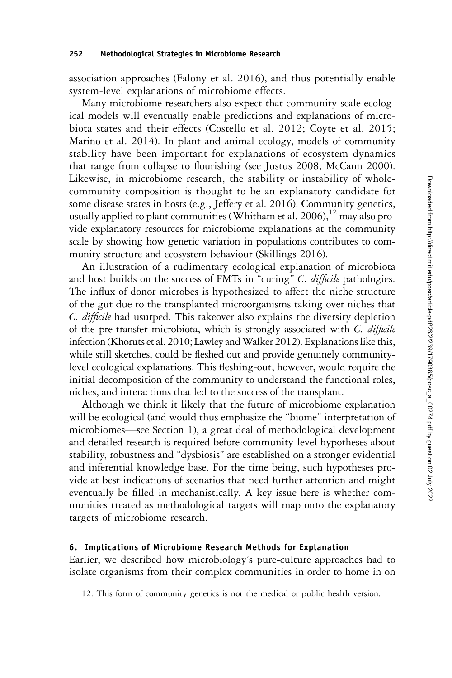association approaches (Falony et al. 2016), and thus potentially enable system-level explanations of microbiome effects.

Many microbiome researchers also expect that community-scale ecological models will eventually enable predictions and explanations of microbiota states and their effects (Costello et al. 2012; Coyte et al. 2015; Marino et al. 2014). In plant and animal ecology, models of community stability have been important for explanations of ecosystem dynamics that range from collapse to flourishing (see Justus 2008; McCann 2000). Likewise, in microbiome research, the stability or instability of wholecommunity composition is thought to be an explanatory candidate for some disease states in hosts (e.g., Jeffery et al. 2016). Community genetics, usually applied to plant communities (Whitham et al. 2006), $^{12}$  may also provide explanatory resources for microbiome explanations at the community scale by showing how genetic variation in populations contributes to community structure and ecosystem behaviour (Skillings 2016).

An illustration of a rudimentary ecological explanation of microbiota and host builds on the success of FMTs in "curing" C. difficile pathologies. The influx of donor microbes is hypothesized to affect the niche structure of the gut due to the transplanted microorganisms taking over niches that C. difficile had usurped. This takeover also explains the diversity depletion of the pre-transfer microbiota, which is strongly associated with C. difficile infection (Khoruts et al. 2010; Lawley and Walker 2012). Explanations like this, while still sketches, could be fleshed out and provide genuinely communitylevel ecological explanations. This fleshing-out, however, would require the initial decomposition of the community to understand the functional roles, niches, and interactions that led to the success of the transplant.

Although we think it likely that the future of microbiome explanation will be ecological (and would thus emphasize the "biome" interpretation of microbiomes—see Section 1), a great deal of methodological development and detailed research is required before community-level hypotheses about stability, robustness and "dysbiosis" are established on a stronger evidential and inferential knowledge base. For the time being, such hypotheses provide at best indications of scenarios that need further attention and might eventually be filled in mechanistically. A key issue here is whether communities treated as methodological targets will map onto the explanatory targets of microbiome research.

## 6. Implications of Microbiome Research Methods for Explanation

Earlier, we described how microbiology's pure-culture approaches had to isolate organisms from their complex communities in order to home in on

12. This form of community genetics is not the medical or public health version.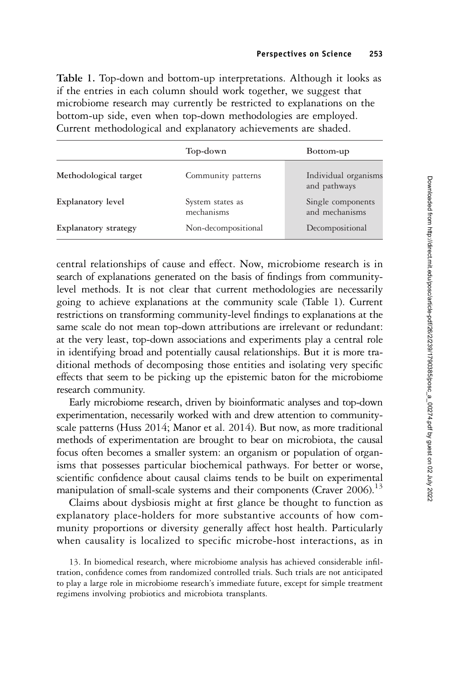Table 1. Top-down and bottom-up interpretations. Although it looks as if the entries in each column should work together, we suggest that microbiome research may currently be restricted to explanations on the bottom-up side, even when top-down methodologies are employed. Current methodological and explanatory achievements are shaded.

|                             | Top-down                       | Bottom-up                            |
|-----------------------------|--------------------------------|--------------------------------------|
| Methodological target       | Community patterns             | Individual organisms<br>and pathways |
| <b>Explanatory level</b>    | System states as<br>mechanisms | Single components<br>and mechanisms  |
| <b>Explanatory strategy</b> | Non-decompositional            | Decompositional                      |

central relationships of cause and effect. Now, microbiome research is in search of explanations generated on the basis of findings from communitylevel methods. It is not clear that current methodologies are necessarily going to achieve explanations at the community scale (Table 1). Current restrictions on transforming community-level findings to explanations at the same scale do not mean top-down attributions are irrelevant or redundant: at the very least, top-down associations and experiments play a central role in identifying broad and potentially causal relationships. But it is more traditional methods of decomposing those entities and isolating very specific effects that seem to be picking up the epistemic baton for the microbiome research community.

Early microbiome research, driven by bioinformatic analyses and top-down experimentation, necessarily worked with and drew attention to communityscale patterns (Huss 2014; Manor et al. 2014). But now, as more traditional methods of experimentation are brought to bear on microbiota, the causal focus often becomes a smaller system: an organism or population of organisms that possesses particular biochemical pathways. For better or worse, scientific confidence about causal claims tends to be built on experimental manipulation of small-scale systems and their components (Craver 2006).<sup>13</sup>

Claims about dysbiosis might at first glance be thought to function as explanatory place-holders for more substantive accounts of how community proportions or diversity generally affect host health. Particularly when causality is localized to specific microbe-host interactions, as in

<sup>13.</sup> In biomedical research, where microbiome analysis has achieved considerable infiltration, confidence comes from randomized controlled trials. Such trials are not anticipated to play a large role in microbiome research's immediate future, except for simple treatment regimens involving probiotics and microbiota transplants.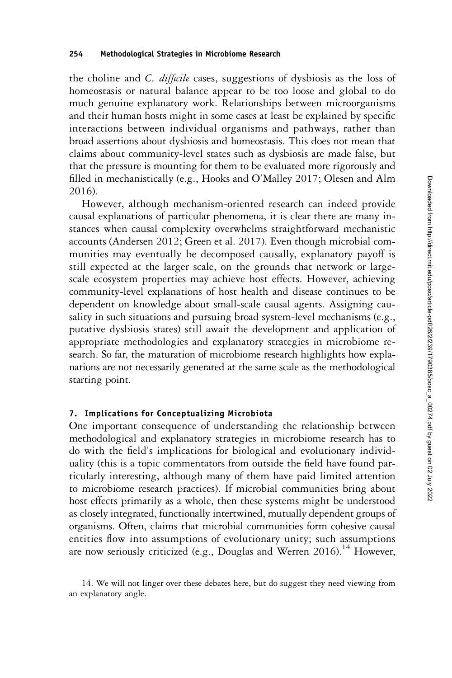the choline and C. difficile cases, suggestions of dysbiosis as the loss of homeostasis or natural balance appear to be too loose and global to do much genuine explanatory work. Relationships between microorganisms and their human hosts might in some cases at least be explained by specific interactions between individual organisms and pathways, rather than broad assertions about dysbiosis and homeostasis. This does not mean that claims about community-level states such as dysbiosis are made false, but that the pressure is mounting for them to be evaluated more rigorously and filled in mechanistically (e.g., Hooks and O'Malley 2017; Olesen and Alm 2016).

However, although mechanism-oriented research can indeed provide causal explanations of particular phenomena, it is clear there are many instances when causal complexity overwhelms straightforward mechanistic accounts (Andersen 2012; Green et al. 2017). Even though microbial communities may eventually be decomposed causally, explanatory payoff is still expected at the larger scale, on the grounds that network or largescale ecosystem properties may achieve host effects. However, achieving community-level explanations of host health and disease continues to be dependent on knowledge about small-scale causal agents. Assigning causality in such situations and pursuing broad system-level mechanisms (e.g., putative dysbiosis states) still await the development and application of appropriate methodologies and explanatory strategies in microbiome research. So far, the maturation of microbiome research highlights how explanations are not necessarily generated at the same scale as the methodological starting point.

## 7. Implications for Conceptualizing Microbiota

One important consequence of understanding the relationship between methodological and explanatory strategies in microbiome research has to do with the field's implications for biological and evolutionary individuality (this is a topic commentators from outside the field have found particularly interesting, although many of them have paid limited attention to microbiome research practices). If microbial communities bring about host effects primarily as a whole, then these systems might be understood as closely integrated, functionally intertwined, mutually dependent groups of organisms. Often, claims that microbial communities form cohesive causal entities flow into assumptions of evolutionary unity; such assumptions are now seriously criticized (e.g., Douglas and Werren 2016).<sup>14</sup> However,

<sup>14.</sup> We will not linger over these debates here, but do suggest they need viewing from an explanatory angle.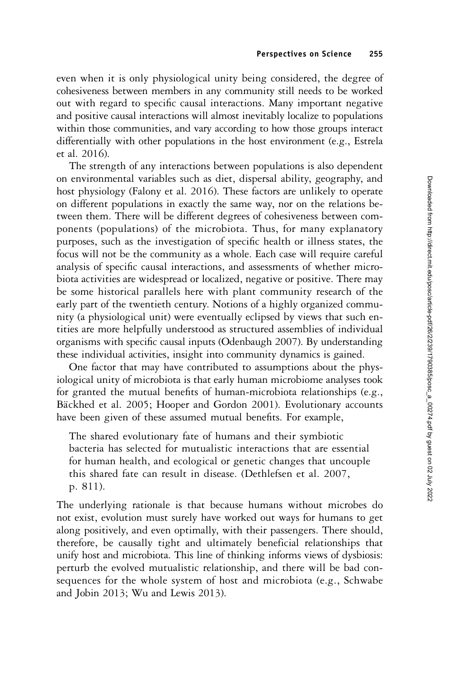even when it is only physiological unity being considered, the degree of cohesiveness between members in any community still needs to be worked out with regard to specific causal interactions. Many important negative and positive causal interactions will almost inevitably localize to populations within those communities, and vary according to how those groups interact differentially with other populations in the host environment (e.g., Estrela et al. 2016).

The strength of any interactions between populations is also dependent on environmental variables such as diet, dispersal ability, geography, and host physiology (Falony et al. 2016). These factors are unlikely to operate on different populations in exactly the same way, nor on the relations between them. There will be different degrees of cohesiveness between components (populations) of the microbiota. Thus, for many explanatory purposes, such as the investigation of specific health or illness states, the focus will not be the community as a whole. Each case will require careful analysis of specific causal interactions, and assessments of whether microbiota activities are widespread or localized, negative or positive. There may be some historical parallels here with plant community research of the early part of the twentieth century. Notions of a highly organized community (a physiological unit) were eventually eclipsed by views that such entities are more helpfully understood as structured assemblies of individual organisms with specific causal inputs (Odenbaugh 2007). By understanding these individual activities, insight into community dynamics is gained.

One factor that may have contributed to assumptions about the physiological unity of microbiota is that early human microbiome analyses took for granted the mutual benefits of human-microbiota relationships (e.g., Bäckhed et al. 2005; Hooper and Gordon 2001). Evolutionary accounts have been given of these assumed mutual benefits. For example,

The shared evolutionary fate of humans and their symbiotic bacteria has selected for mutualistic interactions that are essential for human health, and ecological or genetic changes that uncouple this shared fate can result in disease. (Dethlefsen et al. 2007, p. 811).

The underlying rationale is that because humans without microbes do not exist, evolution must surely have worked out ways for humans to get along positively, and even optimally, with their passengers. There should, therefore, be causally tight and ultimately beneficial relationships that unify host and microbiota. This line of thinking informs views of dysbiosis: perturb the evolved mutualistic relationship, and there will be bad consequences for the whole system of host and microbiota (e.g., Schwabe and Jobin 2013; Wu and Lewis 2013).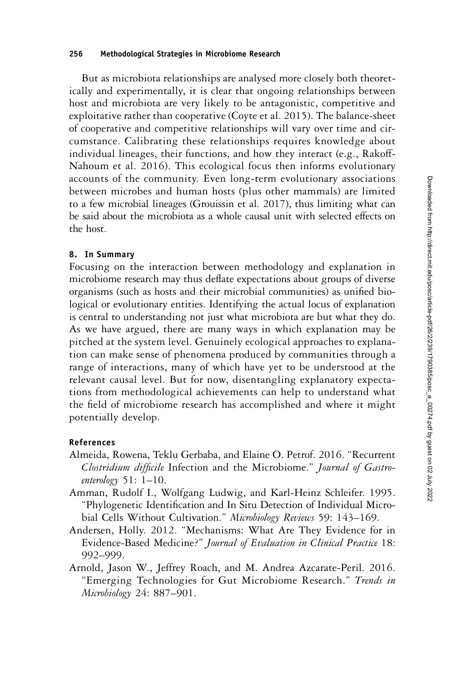But as microbiota relationships are analysed more closely both theoretically and experimentally, it is clear that ongoing relationships between host and microbiota are very likely to be antagonistic, competitive and exploitative rather than cooperative (Coyte et al. 2015). The balance-sheet of cooperative and competitive relationships will vary over time and circumstance. Calibrating these relationships requires knowledge about individual lineages, their functions, and how they interact (e.g., Rakoff-Nahoum et al. 2016). This ecological focus then informs evolutionary accounts of the community. Even long-term evolutionary associations between microbes and human hosts (plus other mammals) are limited to a few microbial lineages (Grouissin et al. 2017), thus limiting what can be said about the microbiota as a whole causal unit with selected effects on the host.

## 8. In Summary

Focusing on the interaction between methodology and explanation in microbiome research may thus deflate expectations about groups of diverse organisms (such as hosts and their microbial communities) as unified biological or evolutionary entities. Identifying the actual locus of explanation is central to understanding not just what microbiota are but what they do. As we have argued, there are many ways in which explanation may be pitched at the system level. Genuinely ecological approaches to explanation can make sense of phenomena produced by communities through a range of interactions, many of which have yet to be understood at the relevant causal level. But for now, disentangling explanatory expectations from methodological achievements can help to understand what the field of microbiome research has accomplished and where it might potentially develop.

## References

- Almeida, Rowena, Teklu Gerbaba, and Elaine O. Petrof. 2016. "Recurrent Clostridium difficile Infection and the Microbiome." Journal of Gastroenterology  $51: 1-10$ .
- Amman, Rudolf I., Wolfgang Ludwig, and Karl-Heinz Schleifer. 1995. "Phylogenetic Identification and In Situ Detection of Individual Microbial Cells Without Cultivation." Microbiology Reviews 59: 143-169.
- Andersen, Holly. 2012. "Mechanisms: What Are They Evidence for in Evidence-Based Medicine?" Journal of Evaluation in Clinical Practice 18: 992–999.
- Arnold, Jason W., Jeffrey Roach, and M. Andrea Azcarate-Peril. 2016. "Emerging Technologies for Gut Microbiome Research." Trends in Microbiology 24: 887-901.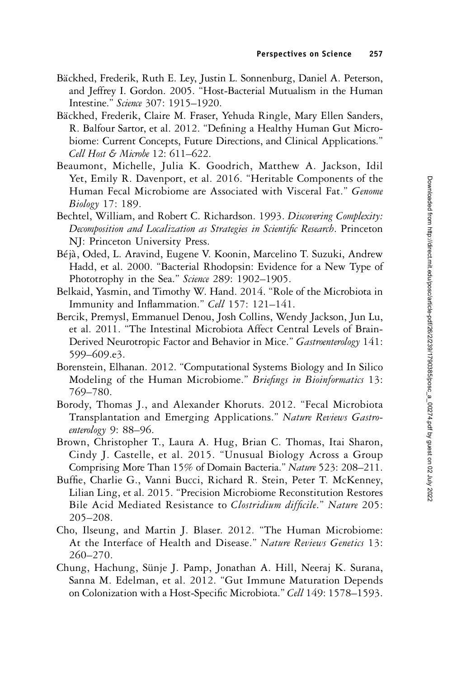- Bäckhed, Frederik, Ruth E. Ley, Justin L. Sonnenburg, Daniel A. Peterson, and Jeffrey I. Gordon. 2005. "Host-Bacterial Mutualism in the Human Intestine." Science 307: 1915–1920.
- Bäckhed, Frederik, Claire M. Fraser, Yehuda Ringle, Mary Ellen Sanders, R. Balfour Sartor, et al. 2012. "Defining a Healthy Human Gut Microbiome: Current Concepts, Future Directions, and Clinical Applications." Cell Host & Microbe 12: 611–622.
- Beaumont, Michelle, Julia K. Goodrich, Matthew A. Jackson, Idil Yet, Emily R. Davenport, et al. 2016. "Heritable Components of the Human Fecal Microbiome are Associated with Visceral Fat." Genome Biology 17: 189.
- Bechtel, William, and Robert C. Richardson. 1993. Discovering Complexity: Decomposition and Localization as Strategies in Scientific Research. Princeton NJ: Princeton University Press.
- Béjà, Oded, L. Aravind, Eugene V. Koonin, Marcelino T. Suzuki, Andrew Hadd, et al. 2000. "Bacterial Rhodopsin: Evidence for a New Type of Phototrophy in the Sea." Science 289: 1902-1905.
- Belkaid, Yasmin, and Timothy W. Hand. 2014. "Role of the Microbiota in Immunity and Inflammation." Cell 157: 121-141.
- Bercik, Premysl, Emmanuel Denou, Josh Collins, Wendy Jackson, Jun Lu, et al. 2011. "The Intestinal Microbiota Affect Central Levels of Brain-Derived Neurotropic Factor and Behavior in Mice." Gastroenterology 141: 599–609.e3.
- Borenstein, Elhanan. 2012. "Computational Systems Biology and In Silico Modeling of the Human Microbiome." Briefings in Bioinformatics 13: 769–780.
- Borody, Thomas J., and Alexander Khoruts. 2012. "Fecal Microbiota Transplantation and Emerging Applications." Nature Reviews Gastroenterology 9: 88–96.
- Brown, Christopher T., Laura A. Hug, Brian C. Thomas, Itai Sharon, Cindy J. Castelle, et al. 2015. "Unusual Biology Across a Group Comprising More Than 15% of Domain Bacteria." Nature 523: 208–211.
- Buffie, Charlie G., Vanni Bucci, Richard R. Stein, Peter T. McKenney, Lilian Ling, et al. 2015. "Precision Microbiome Reconstitution Restores Bile Acid Mediated Resistance to Clostridium difficile." Nature 205: 205–208.
- Cho, Ilseung, and Martin J. Blaser. 2012. "The Human Microbiome: At the Interface of Health and Disease." Nature Reviews Genetics 13: 260–270.
- Chung, Hachung, Sünje J. Pamp, Jonathan A. Hill, Neeraj K. Surana, Sanna M. Edelman, et al. 2012. "Gut Immune Maturation Depends on Colonization with a Host-Specific Microbiota." Cell 149: 1578–1593.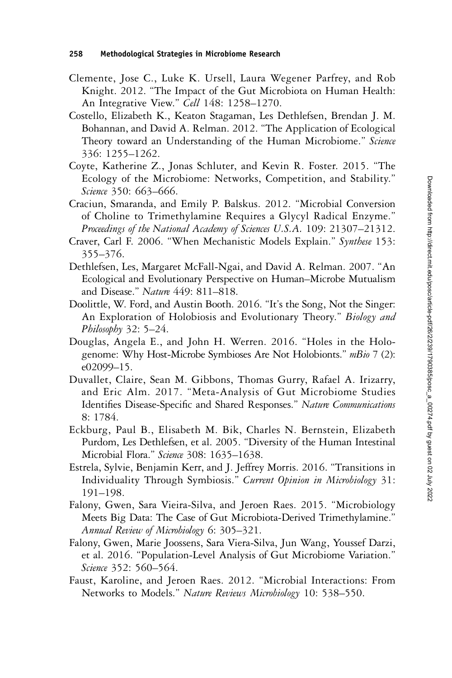- Clemente, Jose C., Luke K. Ursell, Laura Wegener Parfrey, and Rob Knight. 2012. "The Impact of the Gut Microbiota on Human Health: An Integrative View." Cell 148: 1258–1270.
- Costello, Elizabeth K., Keaton Stagaman, Les Dethlefsen, Brendan J. M. Bohannan, and David A. Relman. 2012. "The Application of Ecological Theory toward an Understanding of the Human Microbiome." Science 336: 1255–1262.
- Coyte, Katherine Z., Jonas Schluter, and Kevin R. Foster. 2015. "The Ecology of the Microbiome: Networks, Competition, and Stability." Science 350: 663–666.
- Craciun, Smaranda, and Emily P. Balskus. 2012. "Microbial Conversion of Choline to Trimethylamine Requires a Glycyl Radical Enzyme." Proceedings of the National Academy of Sciences U.S.A. 109: 21307–21312.
- Craver, Carl F. 2006. "When Mechanistic Models Explain." Synthese 153: 355–376.
- Dethlefsen, Les, Margaret McFall-Ngai, and David A. Relman. 2007. "An Ecological and Evolutionary Perspective on Human–Microbe Mutualism and Disease." Nature 449: 811–818.
- Doolittle, W. Ford, and Austin Booth. 2016. "It's the Song, Not the Singer: An Exploration of Holobiosis and Evolutionary Theory." Biology and Philosophy 32: 5-24.
- Douglas, Angela E., and John H. Werren. 2016. "Holes in the Hologenome: Why Host-Microbe Symbioses Are Not Holobionts." mBio 7 (2): e02099–15.
- Duvallet, Claire, Sean M. Gibbons, Thomas Gurry, Rafael A. Irizarry, and Eric Alm. 2017. "Meta-Analysis of Gut Microbiome Studies Identifies Disease-Specific and Shared Responses." Nature Communications 8: 1784.
- Eckburg, Paul B., Elisabeth M. Bik, Charles N. Bernstein, Elizabeth Purdom, Les Dethlefsen, et al. 2005. "Diversity of the Human Intestinal Microbial Flora." Science 308: 1635-1638.
- Estrela, Sylvie, Benjamin Kerr, and J. Jeffrey Morris. 2016. "Transitions in Individuality Through Symbiosis." Current Opinion in Microbiology 31: 191–198.
- Falony, Gwen, Sara Vieira-Silva, and Jeroen Raes. 2015. "Microbiology Meets Big Data: The Case of Gut Microbiota-Derived Trimethylamine." Annual Review of Microbiology 6: 305–321.
- Falony, Gwen, Marie Joossens, Sara Viera-Silva, Jun Wang, Youssef Darzi, et al. 2016. "Population-Level Analysis of Gut Microbiome Variation." Science 352: 560–564.
- Faust, Karoline, and Jeroen Raes. 2012. "Microbial Interactions: From Networks to Models." Nature Reviews Microbiology 10: 538-550.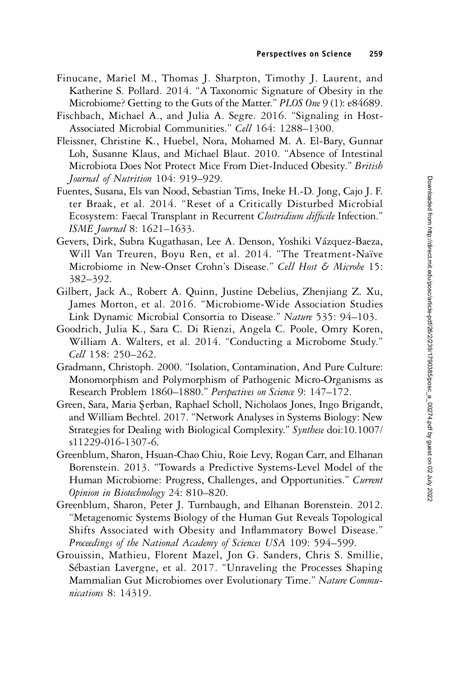- Finucane, Mariel M., Thomas J. Sharpton, Timothy J. Laurent, and Katherine S. Pollard. 2014. "A Taxonomic Signature of Obesity in the Microbiome? Getting to the Guts of the Matter." PLOS One 9 (1): e84689.
- Fischbach, Michael A., and Julia A. Segre. 2016. "Signaling in Host-Associated Microbial Communities." Cell 164: 1288–1300.
- Fleissner, Christine K., Huebel, Nora, Mohamed M. A. El-Bary, Gunnar Loh, Susanne Klaus, and Michael Blaut. 2010. "Absence of Intestinal Microbiota Does Not Protect Mice From Diet-Induced Obesity." British Journal of Nutrition 104: 919–929.
- Fuentes, Susana, Els van Nood, Sebastian Tims, Ineke H.-D. Jong, Cajo J. F. ter Braak, et al. 2014. "Reset of a Critically Disturbed Microbial Ecosystem: Faecal Transplant in Recurrent Clostridium difficile Infection." ISME Journal 8: 1621–1633.
- Gevers, Dirk, Subra Kugathasan, Lee A. Denson, Yoshiki Vázquez-Baeza, Will Van Treuren, Boyu Ren, et al. 2014. "The Treatment-Naïve Microbiome in New-Onset Crohn's Disease." Cell Host & Microbe 15: 382–392.
- Gilbert, Jack A., Robert A. Quinn, Justine Debelius, Zhenjiang Z. Xu, James Morton, et al. 2016. "Microbiome-Wide Association Studies Link Dynamic Microbial Consortia to Disease." Nature 535: 94–103.
- Goodrich, Julia K., Sara C. Di Rienzi, Angela C. Poole, Omry Koren, William A. Walters, et al. 2014. "Conducting a Microbome Study." Cell 158: 250–262.
- Gradmann, Christoph. 2000. "Isolation, Contamination, And Pure Culture: Monomorphism and Polymorphism of Pathogenic Micro-Organisms as Research Problem 1860–1880." Perspectives on Science 9: 147–172.
- Green, Sara, Maria Şerban, Raphael Scholl, Nicholaos Jones, Ingo Brigandt, and William Bechtel. 2017. "Network Analyses in Systems Biology: New Strategies for Dealing with Biological Complexity." Synthese doi:10.1007/ s11229-016-1307-6.
- Greenblum, Sharon, Hsuan-Chao Chiu, Roie Levy, Rogan Carr, and Elhanan Borenstein. 2013. "Towards a Predictive Systems-Level Model of the Human Microbiome: Progress, Challenges, and Opportunities." Current Opinion in Biotechnology 24: 810–820.
- Greenblum, Sharon, Peter J. Turnbaugh, and Elhanan Borenstein. 2012. "Metagenomic Systems Biology of the Human Gut Reveals Topological Shifts Associated with Obesity and Inflammatory Bowel Disease." Proceedings of the National Academy of Sciences USA 109: 594-599.
- Grouissin, Mathieu, Florent Mazel, Jon G. Sanders, Chris S. Smillie, Sébastian Lavergne, et al. 2017. "Unraveling the Processes Shaping Mammalian Gut Microbiomes over Evolutionary Time." Nature Communications 8: 14319.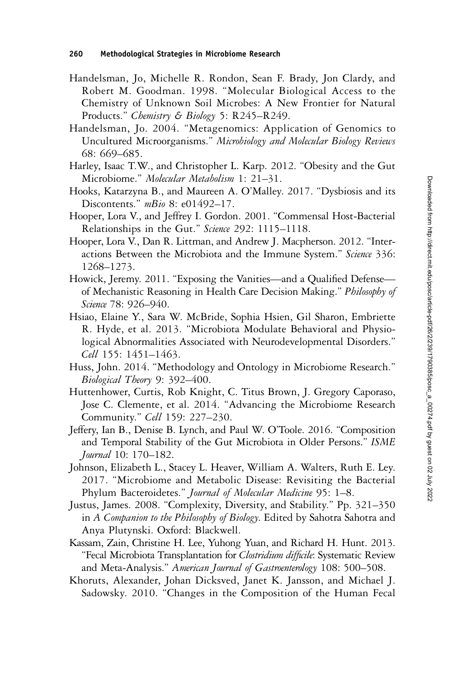- Handelsman, Jo, Michelle R. Rondon, Sean F. Brady, Jon Clardy, and Robert M. Goodman. 1998. "Molecular Biological Access to the Chemistry of Unknown Soil Microbes: A New Frontier for Natural Products." Chemistry & Biology 5: R245-R249.
- Handelsman, Jo. 2004. "Metagenomics: Application of Genomics to Uncultured Microorganisms." Microbiology and Molecular Biology Reviews 68: 669–685.
- Harley, Isaac T.W., and Christopher L. Karp. 2012. "Obesity and the Gut Microbiome." Molecular Metabolism 1: 21–31.
- Hooks, Katarzyna B., and Maureen A. O'Malley. 2017. "Dysbiosis and its Discontents." mBio 8: e01492–17.
- Hooper, Lora V., and Jeffrey I. Gordon. 2001. "Commensal Host-Bacterial Relationships in the Gut." Science 292: 1115-1118.
- Hooper, Lora V., Dan R. Littman, and Andrew J. Macpherson. 2012. "Interactions Between the Microbiota and the Immune System." Science 336: 1268–1273.
- Howick, Jeremy. 2011. "Exposing the Vanities—and a Qualified Defense of Mechanistic Reasoning in Health Care Decision Making." Philosophy of Science 78: 926–940.
- Hsiao, Elaine Y., Sara W. McBride, Sophia Hsien, Gil Sharon, Embriette R. Hyde, et al. 2013. "Microbiota Modulate Behavioral and Physiological Abnormalities Associated with Neurodevelopmental Disorders." Cell 155: 1451–1463.
- Huss, John. 2014. "Methodology and Ontology in Microbiome Research." Biological Theory 9: 392–400.
- Huttenhower, Curtis, Rob Knight, C. Titus Brown, J. Gregory Caporaso, Jose C. Clemente, et al. 2014. "Advancing the Microbiome Research Community." Cell 159: 227–230.
- Jeffery, Ian B., Denise B. Lynch, and Paul W. O'Toole. 2016. "Composition and Temporal Stability of the Gut Microbiota in Older Persons." ISME Journal 10: 170–182.
- Johnson, Elizabeth L., Stacey L. Heaver, William A. Walters, Ruth E. Ley. 2017. "Microbiome and Metabolic Disease: Revisiting the Bacterial Phylum Bacteroidetes." Journal of Molecular Medicine 95: 1–8.
- Justus, James. 2008. "Complexity, Diversity, and Stability." Pp. 321–350 in A Companion to the Philosophy of Biology. Edited by Sahotra Sahotra and Anya Plutynski. Oxford: Blackwell.
- Kassam, Zain, Christine H. Lee, Yuhong Yuan, and Richard H. Hunt. 2013. "Fecal Microbiota Transplantation for Clostridium difficile: Systematic Review and Meta-Analysis." American Journal of Gastroenterology 108: 500-508.
- Khoruts, Alexander, Johan Dicksved, Janet K. Jansson, and Michael J. Sadowsky. 2010. "Changes in the Composition of the Human Fecal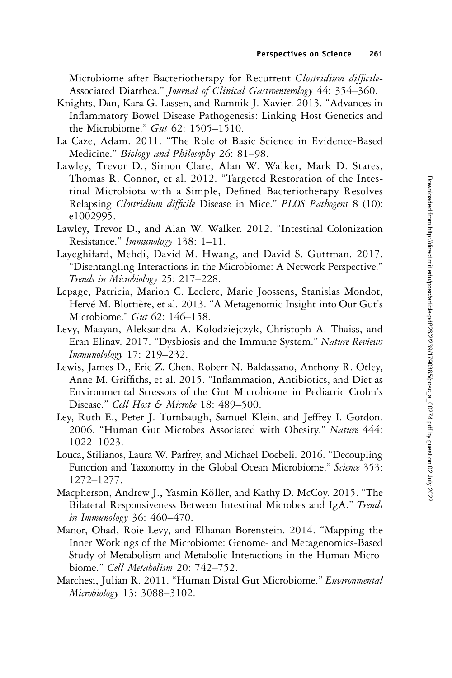Microbiome after Bacteriotherapy for Recurrent Clostridium difficile-Associated Diarrhea." Journal of Clinical Gastroenterology 44: 354–360.

- Knights, Dan, Kara G. Lassen, and Ramnik J. Xavier. 2013. "Advances in Inflammatory Bowel Disease Pathogenesis: Linking Host Genetics and the Microbiome." Gut 62: 1505–1510.
- La Caze, Adam. 2011. "The Role of Basic Science in Evidence-Based Medicine." Biology and Philosophy 26: 81-98.
- Lawley, Trevor D., Simon Clare, Alan W. Walker, Mark D. Stares, Thomas R. Connor, et al. 2012. "Targeted Restoration of the Intestinal Microbiota with a Simple, Defined Bacteriotherapy Resolves Relapsing Clostridium difficile Disease in Mice." PLOS Pathogens 8 (10): e1002995.
- Lawley, Trevor D., and Alan W. Walker. 2012. "Intestinal Colonization Resistance." Immunology 138: 1–11.
- Layeghifard, Mehdi, David M. Hwang, and David S. Guttman. 2017. "Disentangling Interactions in the Microbiome: A Network Perspective." Trends in Microbiology 25: 217–228.
- Lepage, Patricia, Marion C. Leclerc, Marie Joossens, Stanislas Mondot, Hervé M. Blottière, et al. 2013. "A Metagenomic Insight into Our Gut's Microbiome." Gut 62: 146-158.
- Levy, Maayan, Aleksandra A. Kolodziejczyk, Christoph A. Thaiss, and Eran Elinav. 2017. "Dysbiosis and the Immune System." Nature Reviews Immunolology 17: 219–232.
- Lewis, James D., Eric Z. Chen, Robert N. Baldassano, Anthony R. Otley, Anne M. Griffiths, et al. 2015. "Inflammation, Antibiotics, and Diet as Environmental Stressors of the Gut Microbiome in Pediatric Crohn's Disease." Cell Host & Microbe 18: 489-500.
- Ley, Ruth E., Peter J. Turnbaugh, Samuel Klein, and Jeffrey I. Gordon. 2006. "Human Gut Microbes Associated with Obesity." Nature 444: 1022–1023.
- Louca, Stilianos, Laura W. Parfrey, and Michael Doebeli. 2016. "Decoupling Function and Taxonomy in the Global Ocean Microbiome." Science 353: 1272–1277.
- Macpherson, Andrew J., Yasmin Köller, and Kathy D. McCoy. 2015. "The Bilateral Responsiveness Between Intestinal Microbes and IgA." Trends in Immunology 36: 460–470.
- Manor, Ohad, Roie Levy, and Elhanan Borenstein. 2014. "Mapping the Inner Workings of the Microbiome: Genome- and Metagenomics-Based Study of Metabolism and Metabolic Interactions in the Human Microbiome." Cell Metabolism 20: 742–752.
- Marchesi, Julian R. 2011. "Human Distal Gut Microbiome." Environmental Microbiology 13: 3088–3102.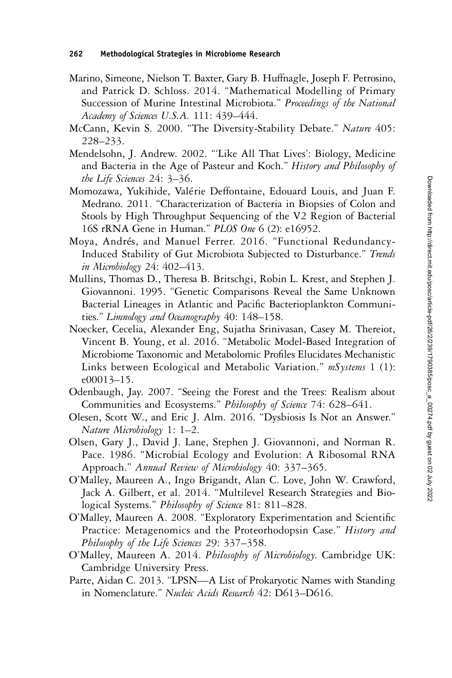- Marino, Simeone, Nielson T. Baxter, Gary B. Huffnagle, Joseph F. Petrosino, and Patrick D. Schloss. 2014. "Mathematical Modelling of Primary Succession of Murine Intestinal Microbiota." Proceedings of the National Academy of Sciences U.S.A. 111: 439–444.
- McCann, Kevin S. 2000. "The Diversity-Stability Debate." Nature 405: 228–233.
- Mendelsohn, J. Andrew. 2002. "'Like All That Lives': Biology, Medicine and Bacteria in the Age of Pasteur and Koch." History and Philosophy of the Life Sciences 24: 3–36.
- Momozawa, Yukihide, Valérie Deffontaine, Edouard Louis, and Juan F. Medrano. 2011. "Characterization of Bacteria in Biopsies of Colon and Stools by High Throughput Sequencing of the V2 Region of Bacterial 16S rRNA Gene in Human." PLOS One 6 (2): e16952.
- Moya, Andrés, and Manuel Ferrer. 2016. "Functional Redundancy-Induced Stability of Gut Microbiota Subjected to Disturbance." Trends in Microbiology 24: 402–413.
- Mullins, Thomas D., Theresa B. Britschgi, Robin L. Krest, and Stephen J. Giovannoni. 1995. "Genetic Comparisons Reveal the Same Unknown Bacterial Lineages in Atlantic and Pacific Bacterioplankton Communities." Limnology and Oceanography 40: 148–158.
- Noecker, Cecelia, Alexander Eng, Sujatha Srinivasan, Casey M. Thereiot, Vincent B. Young, et al. 2016. "Metabolic Model-Based Integration of Microbiome Taxonomic and Metabolomic Profiles Elucidates Mechanistic Links between Ecological and Metabolic Variation." mSystems 1 (1): e00013–15.
- Odenbaugh, Jay. 2007. "Seeing the Forest and the Trees: Realism about Communities and Ecosystems." Philosophy of Science 74: 628-641.
- Olesen, Scott W., and Eric J. Alm. 2016. "Dysbiosis Is Not an Answer." Nature Microbiology 1: 1–2.
- Olsen, Gary J., David J. Lane, Stephen J. Giovannoni, and Norman R. Pace. 1986. "Microbial Ecology and Evolution: A Ribosomal RNA Approach." Annual Review of Microbiology 40: 337–365.
- O'Malley, Maureen A., Ingo Brigandt, Alan C. Love, John W. Crawford, Jack A. Gilbert, et al. 2014. "Multilevel Research Strategies and Biological Systems." Philosophy of Science 81: 811-828.
- O'Malley, Maureen A. 2008. "Exploratory Experimentation and Scientific Practice: Metagenomics and the Proteorhodopsin Case." History and Philosophy of the Life Sciences 29: 337-358.
- O'Malley, Maureen A. 2014. Philosophy of Microbiology. Cambridge UK: Cambridge University Press.
- Parte, Aidan C. 2013. "LPSN—A List of Prokaryotic Names with Standing in Nomenclature." Nucleic Acids Research 42: D613–D616.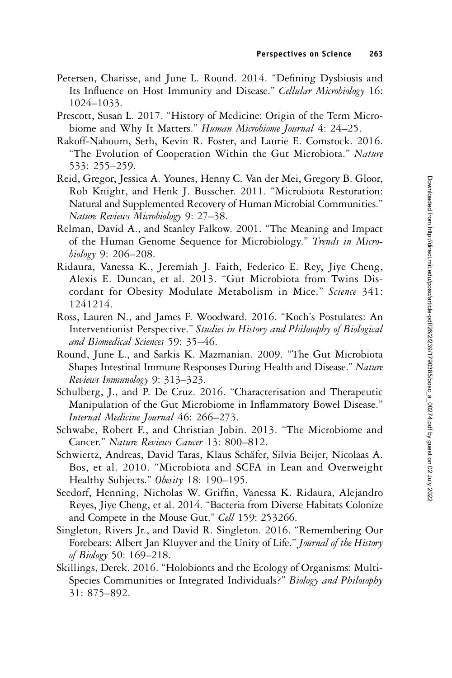- Petersen, Charisse, and June L. Round. 2014. "Defining Dysbiosis and Its Influence on Host Immunity and Disease." Cellular Microbiology 16: 1024–1033.
- Prescott, Susan L. 2017. "History of Medicine: Origin of the Term Microbiome and Why It Matters." Human Microbiome Journal 4: 24–25.
- Rakoff-Nahoum, Seth, Kevin R. Foster, and Laurie E. Comstock. 2016. "The Evolution of Cooperation Within the Gut Microbiota." Nature 533: 255–259.
- Reid, Gregor, Jessica A. Younes, Henny C. Van der Mei, Gregory B. Gloor, Rob Knight, and Henk J. Busscher. 2011. "Microbiota Restoration: Natural and Supplemented Recovery of Human Microbial Communities." Nature Reviews Microbiology 9: 27–38.
- Relman, David A., and Stanley Falkow. 2001. "The Meaning and Impact of the Human Genome Sequence for Microbiology." Trends in Microbiology 9: 206–208.
- Ridaura, Vanessa K., Jeremiah J. Faith, Federico E. Rey, Jiye Cheng, Alexis E. Duncan, et al. 2013. "Gut Microbiota from Twins Discordant for Obesity Modulate Metabolism in Mice." Science 341: 1241214.
- Ross, Lauren N., and James F. Woodward. 2016. "Koch's Postulates: An Interventionist Perspective." Studies in History and Philosophy of Biological and Biomedical Sciences 59: 35–46.
- Round, June L., and Sarkis K. Mazmanian. 2009. "The Gut Microbiota Shapes Intestinal Immune Responses During Health and Disease." Nature Reviews Immunology 9: 313–323.
- Schulberg, J., and P. De Cruz. 2016. "Characterisation and Therapeutic Manipulation of the Gut Microbiome in Inflammatory Bowel Disease." Internal Medicine Journal 46: 266–273.
- Schwabe, Robert F., and Christian Jobin. 2013. "The Microbiome and Cancer." Nature Reviews Cancer 13: 800–812.
- Schwiertz, Andreas, David Taras, Klaus Schäfer, Silvia Beijer, Nicolaas A. Bos, et al. 2010. "Microbiota and SCFA in Lean and Overweight Healthy Subjects." Obesity 18: 190-195.
- Seedorf, Henning, Nicholas W. Griffin, Vanessa K. Ridaura, Alejandro Reyes, Jiye Cheng, et al. 2014. "Bacteria from Diverse Habitats Colonize and Compete in the Mouse Gut." Cell 159: 253266.
- Singleton, Rivers Jr., and David R. Singleton. 2016. "Remembering Our Forebears: Albert Jan Kluyver and the Unity of Life." Journal of the History of Biology 50: 169–218.
- Skillings, Derek. 2016. "Holobionts and the Ecology of Organisms: Multi-Species Communities or Integrated Individuals?" Biology and Philosophy 31: 875–892.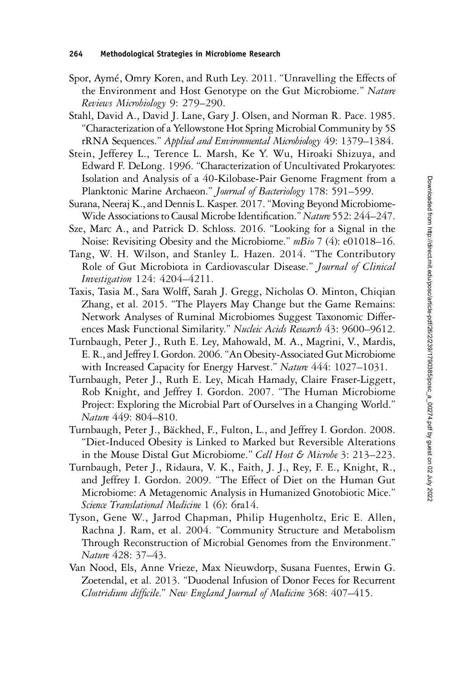- Spor, Aymé, Omry Koren, and Ruth Ley. 2011. "Unravelling the Effects of the Environment and Host Genotype on the Gut Microbiome." Nature Reviews Microbiology 9: 279–290.
- Stahl, David A., David J. Lane, Gary J. Olsen, and Norman R. Pace. 1985. "Characterization of a Yellowstone Hot Spring Microbial Community by 5S rRNA Sequences." Applied and Environmental Microbiology 49: 1379–1384.
- Stein, Jefferey L., Terence L. Marsh, Ke Y. Wu, Hiroaki Shizuya, and Edward F. DeLong. 1996. "Characterization of Uncultivated Prokaryotes: Isolation and Analysis of a 40-Kilobase-Pair Genome Fragment from a Planktonic Marine Archaeon." Journal of Bacteriology 178: 591-599.
- Surana, Neeraj K., and Dennis L. Kasper. 2017."Moving Beyond Microbiome-Wide Associations to Causal Microbe Identification." Nature 552: 244–247.
- Sze, Marc A., and Patrick D. Schloss. 2016. "Looking for a Signal in the Noise: Revisiting Obesity and the Microbiome." mBio 7 (4): e01018–16.
- Tang, W. H. Wilson, and Stanley L. Hazen. 2014. "The Contributory Role of Gut Microbiota in Cardiovascular Disease." Journal of Clinical Investigation 124: 4204–4211.
- Taxis, Tasia M., Sara Wolff, Sarah J. Gregg, Nicholas O. Minton, Chiqian Zhang, et al. 2015. "The Players May Change but the Game Remains: Network Analyses of Ruminal Microbiomes Suggest Taxonomic Differences Mask Functional Similarity." Nucleic Acids Research 43: 9600-9612.
- Turnbaugh, Peter J., Ruth E. Ley, Mahowald, M. A., Magrini, V., Mardis, E. R., and Jeffrey I. Gordon. 2006."An Obesity-Associated Gut Microbiome with Increased Capacity for Energy Harvest." Nature 444: 1027–1031.
- Turnbaugh, Peter J., Ruth E. Ley, Micah Hamady, Claire Fraser-Liggett, Rob Knight, and Jeffrey I. Gordon. 2007. "The Human Microbiome Project: Exploring the Microbial Part of Ourselves in a Changing World." Nature 449: 804–810.
- Turnbaugh, Peter J., Bäckhed, F., Fulton, L., and Jeffrey I. Gordon. 2008. "Diet-Induced Obesity is Linked to Marked but Reversible Alterations in the Mouse Distal Gut Microbiome." Cell Host & Microbe 3: 213–223.
- Turnbaugh, Peter J., Ridaura, V. K., Faith, J. J., Rey, F. E., Knight, R., and Jeffrey I. Gordon. 2009. "The Effect of Diet on the Human Gut Microbiome: A Metagenomic Analysis in Humanized Gnotobiotic Mice." Science Translational Medicine 1 (6): 6ra14.
- Tyson, Gene W., Jarrod Chapman, Philip Hugenholtz, Eric E. Allen, Rachna J. Ram, et al. 2004. "Community Structure and Metabolism Through Reconstruction of Microbial Genomes from the Environment." Nature 428: 37–43.
- Van Nood, Els, Anne Vrieze, Max Nieuwdorp, Susana Fuentes, Erwin G. Zoetendal, et al. 2013. "Duodenal Infusion of Donor Feces for Recurrent Clostridium difficile." New England Journal of Medicine 368: 407–415.